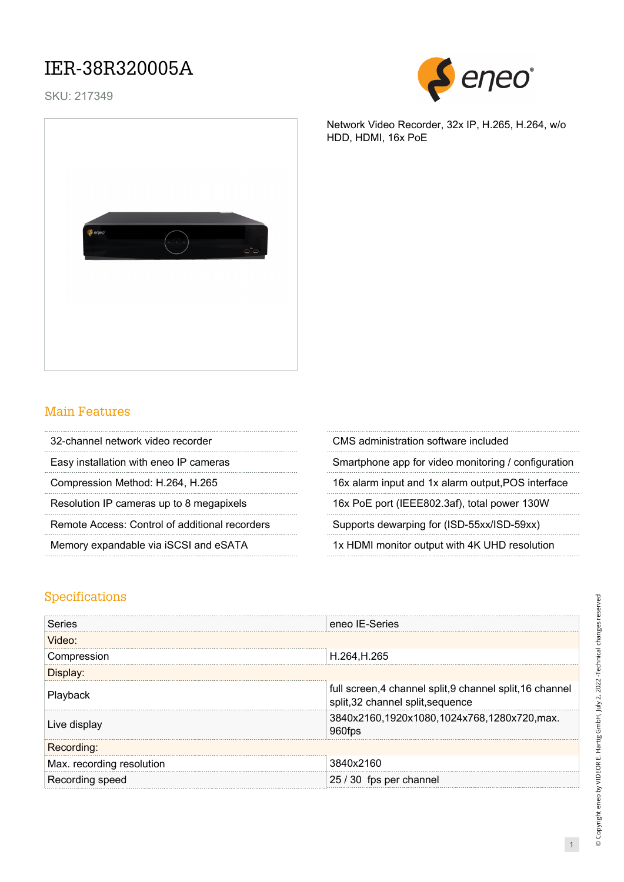### IER-38R320005A

SKU: 217349





#### Main Features

| 32-channel network video recorder              | CMS administration software included         |
|------------------------------------------------|----------------------------------------------|
| Easy installation with eneo IP cameras         | Smartphone app for video monitoring / config |
| Compression Method: H.264, H.265               | 16x alarm input and 1x alarm output, POS int |
| Resolution IP cameras up to 8 megapixels       | 16x PoE port (IEEE802.3af), total power 130  |
| Remote Access: Control of additional recorders | Supports dewarping for (ISD-55xx/ISD-59xx)   |
| Memory expandable via iSCSI and eSATA          | 1x HDMI monitor output with 4K UHD resolut   |
|                                                |                                              |

Network Video Recorder, 32x IP, H.265, H.264, w/o HDD, HDMI, 16x PoE

| 32-channel network video recorder              | CMS administration software included                |
|------------------------------------------------|-----------------------------------------------------|
| Easy installation with eneo IP cameras         | Smartphone app for video monitoring / configuration |
| Compression Method: H.264, H.265               | 16x alarm input and 1x alarm output, POS interface  |
| Resolution IP cameras up to 8 megapixels       | 16x PoE port (IEEE802.3af), total power 130W        |
| Remote Access: Control of additional recorders | Supports dewarping for (ISD-55xx/ISD-59xx)          |
| Memory expandable via iSCSI and eSATA          | 1x HDMI monitor output with 4K UHD resolution       |

### Specifications

| Series                    | eneo IE-Series                                                                                 |
|---------------------------|------------------------------------------------------------------------------------------------|
| Video:                    |                                                                                                |
| Compression               | H.264, H.265                                                                                   |
| Displav:                  |                                                                                                |
| Playback                  | full screen, 4 channel split, 9 channel split, 16 channel<br>split, 32 channel split, sequence |
| Live display              | 3840x2160,1920x1080,1024x768,1280x720,max.<br>960fps                                           |
| Recording:                |                                                                                                |
| Max. recording resolution | 3840x2160                                                                                      |
| Recording speed           | 25 / 30 fps per channel                                                                        |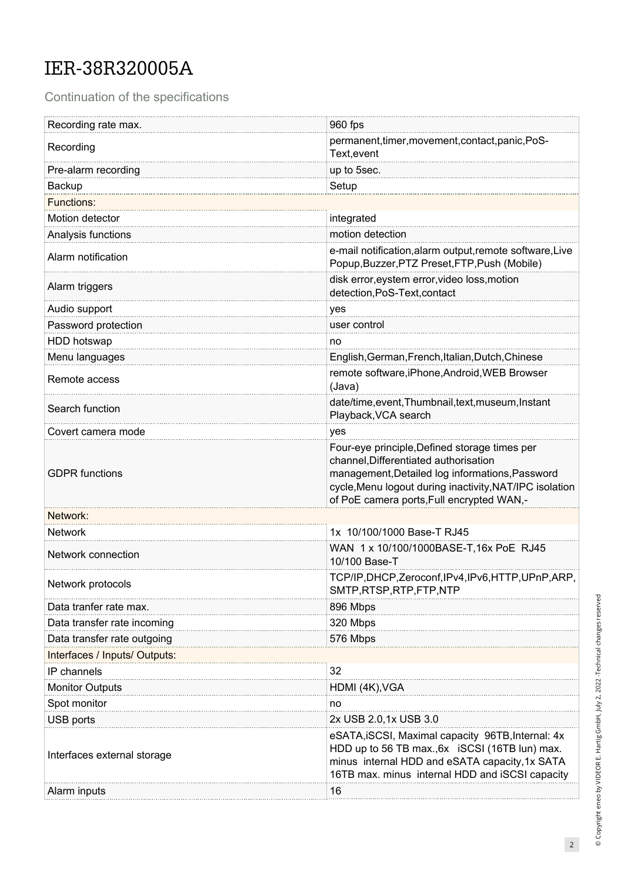# IER-38R320005A

Continuation of the specifications

| Recording rate max.           | 960 fps                                                                                                                                                                                                                                           |
|-------------------------------|---------------------------------------------------------------------------------------------------------------------------------------------------------------------------------------------------------------------------------------------------|
| Recording                     | permanent, timer, movement, contact, panic, PoS-<br>Text, event                                                                                                                                                                                   |
| Pre-alarm recording           | up to 5sec.                                                                                                                                                                                                                                       |
| Backup                        | Setup                                                                                                                                                                                                                                             |
| <b>Functions:</b>             |                                                                                                                                                                                                                                                   |
| Motion detector               | integrated                                                                                                                                                                                                                                        |
| Analysis functions            | motion detection                                                                                                                                                                                                                                  |
| Alarm notification            | e-mail notification, alarm output, remote software, Live<br>Popup, Buzzer, PTZ Preset, FTP, Push (Mobile)                                                                                                                                         |
| Alarm triggers                | disk error, eystem error, video loss, motion<br>detection, PoS-Text, contact                                                                                                                                                                      |
| Audio support                 | yes                                                                                                                                                                                                                                               |
| Password protection           | user control                                                                                                                                                                                                                                      |
| HDD hotswap                   | no                                                                                                                                                                                                                                                |
| Menu languages                | English, German, French, Italian, Dutch, Chinese                                                                                                                                                                                                  |
| Remote access                 | remote software, iPhone, Android, WEB Browser<br>(Java)                                                                                                                                                                                           |
| Search function               | date/time, event, Thumbnail, text, museum, Instant<br>Playback, VCA search                                                                                                                                                                        |
| Covert camera mode            | yes                                                                                                                                                                                                                                               |
| <b>GDPR</b> functions         | Four-eye principle, Defined storage times per<br>channel, Differentiated authorisation<br>management, Detailed log informations, Password<br>cycle, Menu logout during inactivity, NAT/IPC isolation<br>of PoE camera ports, Full encrypted WAN,- |
| Network:                      |                                                                                                                                                                                                                                                   |
| <b>Network</b>                | 1x 10/100/1000 Base-T RJ45                                                                                                                                                                                                                        |
| Network connection            | WAN 1 x 10/100/1000BASE-T, 16x PoE RJ45<br>10/100 Base-T                                                                                                                                                                                          |
| Network protocols             | TCP/IP,DHCP,Zeroconf,IPv4,IPv6,HTTP,UPnP,ARP,<br>SMTP, RTSP, RTP, FTP, NTP                                                                                                                                                                        |
| Data tranfer rate max.        | 896 Mbps                                                                                                                                                                                                                                          |
| Data transfer rate incoming   | 320 Mbps                                                                                                                                                                                                                                          |
| Data transfer rate outgoing   | 576 Mbps                                                                                                                                                                                                                                          |
| Interfaces / Inputs/ Outputs: |                                                                                                                                                                                                                                                   |
| IP channels                   | 32                                                                                                                                                                                                                                                |
| <b>Monitor Outputs</b>        | HDMI (4K), VGA                                                                                                                                                                                                                                    |
| Spot monitor                  | no                                                                                                                                                                                                                                                |
| USB ports                     | 2x USB 2.0,1x USB 3.0                                                                                                                                                                                                                             |
| Interfaces external storage   | eSATA, iSCSI, Maximal capacity 96TB, Internal: 4x<br>HDD up to 56 TB max., 6x iSCSI (16TB lun) max.<br>minus internal HDD and eSATA capacity, 1x SATA<br>16TB max. minus internal HDD and iSCSI capacity                                          |
| Alarm inputs                  | 16                                                                                                                                                                                                                                                |